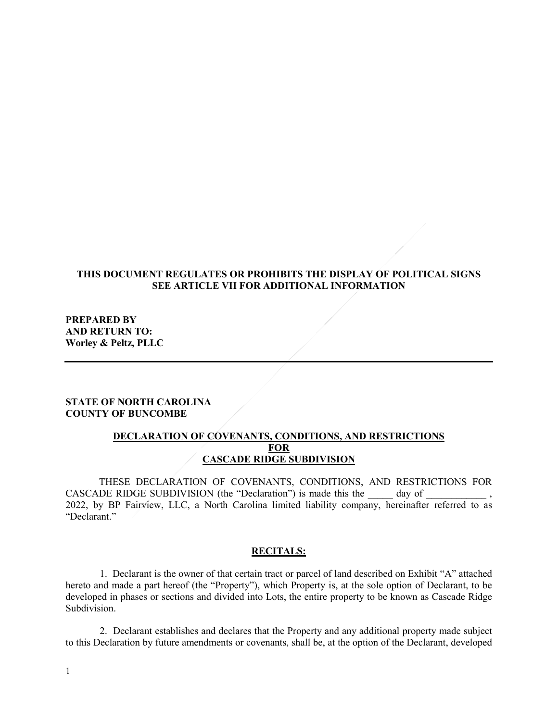## **THIS DOCUMENT REGULATES OR PROHIBITS THE DISPLAY OF POLITICAL SIGNS SEE ARTICLE VII FOR ADDITIONAL INFORMATION**

**PREPARED BY AND RETURN TO: Worley & Peltz, PLLC**

## **STATE OF NORTH CAROLINA COUNTY OF BUNCOMBE**

## **DECLARATION OF COVENANTS, CONDITIONS, AND RESTRICTIONS FOR CASCADE RIDGE SUBDIVISION**

THESE DECLARATION OF COVENANTS, CONDITIONS, AND RESTRICTIONS FOR CASCADE RIDGE SUBDIVISION (the "Declaration") is made this the \_\_\_\_\_ day of \_\_\_\_\_\_\_\_\_\_\_\_ 2022, by BP Fairview, LLC, a North Carolina limited liability company, hereinafter referred to as "Declarant."

#### **RECITALS:**

1. Declarant is the owner of that certain tract or parcel of land described on Exhibit "A" attached hereto and made a part hereof (the "Property"), which Property is, at the sole option of Declarant, to be developed in phases or sections and divided into Lots, the entire property to be known as Cascade Ridge Subdivision.

2. Declarant establishes and declares that the Property and any additional property made subject to this Declaration by future amendments or covenants, shall be, at the option of the Declarant, developed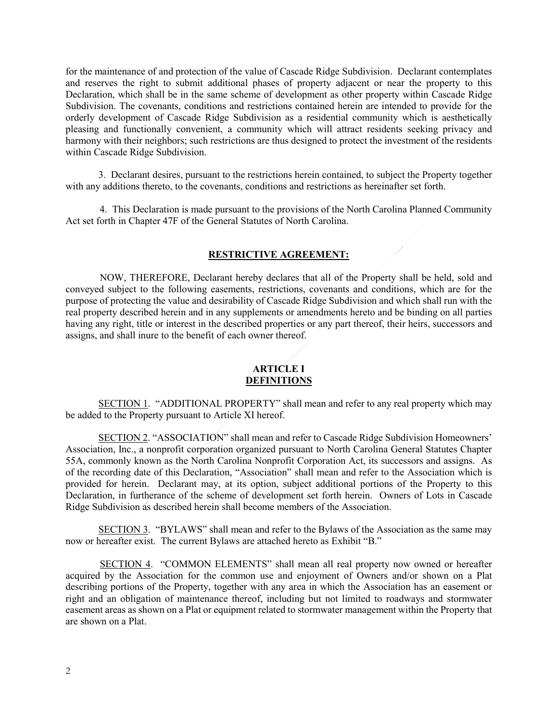for the maintenance of and protection of the value of Cascade Ridge Subdivision. Declarant contemplates and reserves the right to submit additional phases of property adjacent or near the property to this Declaration, which shall be in the same scheme of development as other property within Cascade Ridge Subdivision. The covenants, conditions and restrictions contained herein are intended to provide for the orderly development of Cascade Ridge Subdivision as a residential community which is aesthetically pleasing and functionally convenient, a community which will attract residents seeking privacy and harmony with their neighbors; such restrictions are thus designed to protect the investment of the residents within Cascade Ridge Subdivision.

3. Declarant desires, pursuant to the restrictions herein contained, to subject the Property together with any additions thereto, to the covenants, conditions and restrictions as hereinafter set forth.

4. This Declaration is made pursuant to the provisions of the North Carolina Planned Community Act set forth in Chapter 47F of the General Statutes of North Carolina.

#### **RESTRICTIVE AGREEMENT:**

NOW, THEREFORE, Declarant hereby declares that all of the Property shall be held, sold and conveyed subject to the following easements, restrictions, covenants and conditions, which are for the purpose of protecting the value and desirability of Cascade Ridge Subdivision and which shall run with the real property described herein and in any supplements or amendments hereto and be binding on all parties having any right, title or interest in the described properties or any part thereof, their heirs, successors and assigns, and shall inure to the benefit of each owner thereof.

#### **ARTICLE I DEFINITIONS**

SECTION 1. "ADDITIONAL PROPERTY" shall mean and refer to any real property which may be added to the Property pursuant to Article XI hereof.

SECTION 2. "ASSOCIATION" shall mean and refer to Cascade Ridge Subdivision Homeowners' Association, Inc., a nonprofit corporation organized pursuant to North Carolina General Statutes Chapter 55A, commonly known as the North Carolina Nonprofit Corporation Act, its successors and assigns. As of the recording date of this Declaration, "Association" shall mean and refer to the Association which is provided for herein. Declarant may, at its option, subject additional portions of the Property to this Declaration, in furtherance of the scheme of development set forth herein. Owners of Lots in Cascade Ridge Subdivision as described herein shall become members of the Association.

SECTION 3. "BYLAWS" shall mean and refer to the Bylaws of the Association as the same may now or hereafter exist. The current Bylaws are attached hereto as Exhibit "B."

SECTION 4. "COMMON ELEMENTS" shall mean all real property now owned or hereafter acquired by the Association for the common use and enjoyment of Owners and/or shown on a Plat describing portions of the Property, together with any area in which the Association has an easement or right and an obligation of maintenance thereof, including but not limited to roadways and stormwater easement areas as shown on a Plat or equipment related to stormwater management within the Property that are shown on a Plat.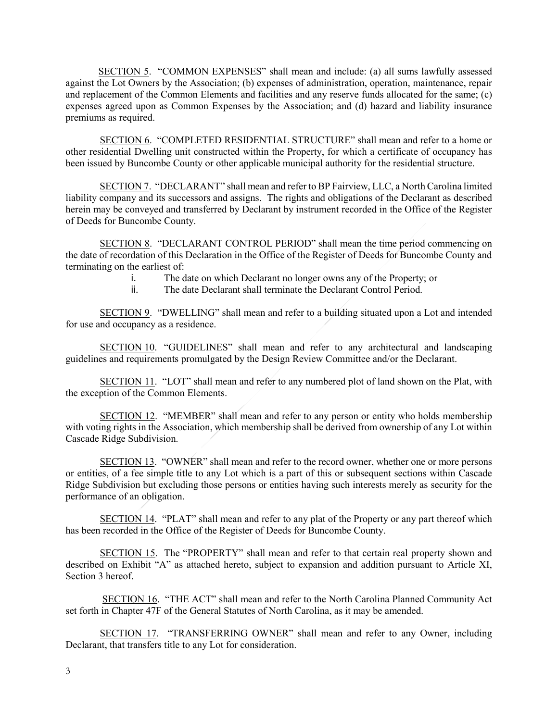SECTION 5. "COMMON EXPENSES" shall mean and include: (a) all sums lawfully assessed against the Lot Owners by the Association; (b) expenses of administration, operation, maintenance, repair and replacement of the Common Elements and facilities and any reserve funds allocated for the same; (c) expenses agreed upon as Common Expenses by the Association; and (d) hazard and liability insurance premiums as required.

SECTION 6. "COMPLETED RESIDENTIAL STRUCTURE" shall mean and refer to a home or other residential Dwelling unit constructed within the Property, for which a certificate of occupancy has been issued by Buncombe County or other applicable municipal authority for the residential structure.

SECTION 7. "DECLARANT" shall mean and refer to BP Fairview, LLC, a North Carolina limited liability company and its successors and assigns. The rights and obligations of the Declarant as described herein may be conveyed and transferred by Declarant by instrument recorded in the Office of the Register of Deeds for Buncombe County.

SECTION 8. "DECLARANT CONTROL PERIOD" shall mean the time period commencing on the date of recordation of this Declaration in the Office of the Register of Deeds for Buncombe County and terminating on the earliest of:

i. The date on which Declarant no longer owns any of the Property; or

ii. The date Declarant shall terminate the Declarant Control Period.

SECTION 9. "DWELLING" shall mean and refer to a building situated upon a Lot and intended for use and occupancy as a residence.

SECTION 10. "GUIDELINES" shall mean and refer to any architectural and landscaping guidelines and requirements promulgated by the Design Review Committee and/or the Declarant.

SECTION 11. "LOT" shall mean and refer to any numbered plot of land shown on the Plat, with the exception of the Common Elements.

SECTION 12. "MEMBER" shall mean and refer to any person or entity who holds membership with voting rights in the Association, which membership shall be derived from ownership of any Lot within Cascade Ridge Subdivision.

SECTION 13. "OWNER" shall mean and refer to the record owner, whether one or more persons or entities, of a fee simple title to any Lot which is a part of this or subsequent sections within Cascade Ridge Subdivision but excluding those persons or entities having such interests merely as security for the performance of an obligation.

SECTION 14. "PLAT" shall mean and refer to any plat of the Property or any part thereof which has been recorded in the Office of the Register of Deeds for Buncombe County.

SECTION 15. The "PROPERTY" shall mean and refer to that certain real property shown and described on Exhibit "A" as attached hereto, subject to expansion and addition pursuant to Article XI, Section 3 hereof.

SECTION 16. "THE ACT" shall mean and refer to the North Carolina Planned Community Act set forth in Chapter 47F of the General Statutes of North Carolina, as it may be amended.

SECTION 17. "TRANSFERRING OWNER" shall mean and refer to any Owner, including Declarant, that transfers title to any Lot for consideration.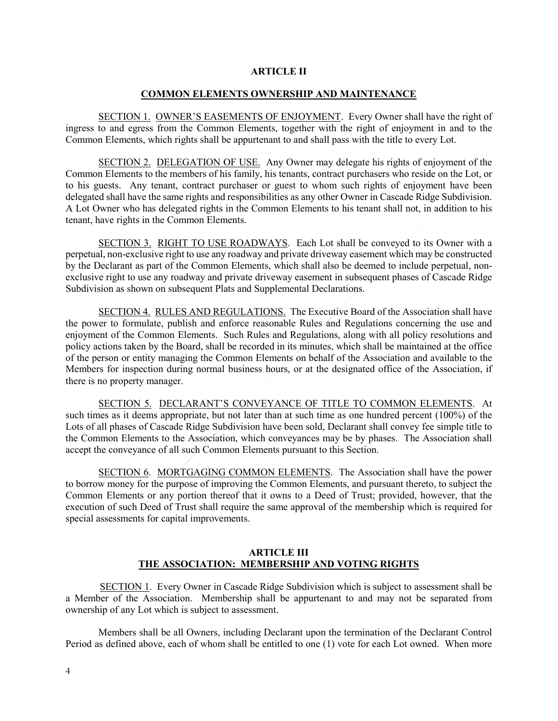#### **ARTICLE II**

#### **COMMON ELEMENTS OWNERSHIP AND MAINTENANCE**

 SECTION 1. OWNER'S EASEMENTS OF ENJOYMENT. Every Owner shall have the right of ingress to and egress from the Common Elements, together with the right of enjoyment in and to the Common Elements, which rights shall be appurtenant to and shall pass with the title to every Lot.

 SECTION 2. DELEGATION OF USE. Any Owner may delegate his rights of enjoyment of the Common Elements to the members of his family, his tenants, contract purchasers who reside on the Lot, or to his guests. Any tenant, contract purchaser or guest to whom such rights of enjoyment have been delegated shall have the same rights and responsibilities as any other Owner in Cascade Ridge Subdivision. A Lot Owner who has delegated rights in the Common Elements to his tenant shall not, in addition to his tenant, have rights in the Common Elements.

SECTION 3. RIGHT TO USE ROADWAYS. Each Lot shall be conveyed to its Owner with a perpetual, non-exclusive right to use any roadway and private driveway easement which may be constructed by the Declarant as part of the Common Elements, which shall also be deemed to include perpetual, nonexclusive right to use any roadway and private driveway easement in subsequent phases of Cascade Ridge Subdivision as shown on subsequent Plats and Supplemental Declarations.

 SECTION 4. RULES AND REGULATIONS. The Executive Board of the Association shall have the power to formulate, publish and enforce reasonable Rules and Regulations concerning the use and enjoyment of the Common Elements. Such Rules and Regulations, along with all policy resolutions and policy actions taken by the Board, shall be recorded in its minutes, which shall be maintained at the office of the person or entity managing the Common Elements on behalf of the Association and available to the Members for inspection during normal business hours, or at the designated office of the Association, if there is no property manager.

 SECTION 5. DECLARANT'S CONVEYANCE OF TITLE TO COMMON ELEMENTS. At such times as it deems appropriate, but not later than at such time as one hundred percent (100%) of the Lots of all phases of Cascade Ridge Subdivision have been sold, Declarant shall convey fee simple title to the Common Elements to the Association, which conveyances may be by phases. The Association shall accept the conveyance of all such Common Elements pursuant to this Section.

 SECTION 6. MORTGAGING COMMON ELEMENTS. The Association shall have the power to borrow money for the purpose of improving the Common Elements, and pursuant thereto, to subject the Common Elements or any portion thereof that it owns to a Deed of Trust; provided, however, that the execution of such Deed of Trust shall require the same approval of the membership which is required for special assessments for capital improvements.

## **ARTICLE III THE ASSOCIATION: MEMBERSHIP AND VOTING RIGHTS**

SECTION 1. Every Owner in Cascade Ridge Subdivision which is subject to assessment shall be a Member of the Association. Membership shall be appurtenant to and may not be separated from ownership of any Lot which is subject to assessment.

Members shall be all Owners, including Declarant upon the termination of the Declarant Control Period as defined above, each of whom shall be entitled to one (1) vote for each Lot owned. When more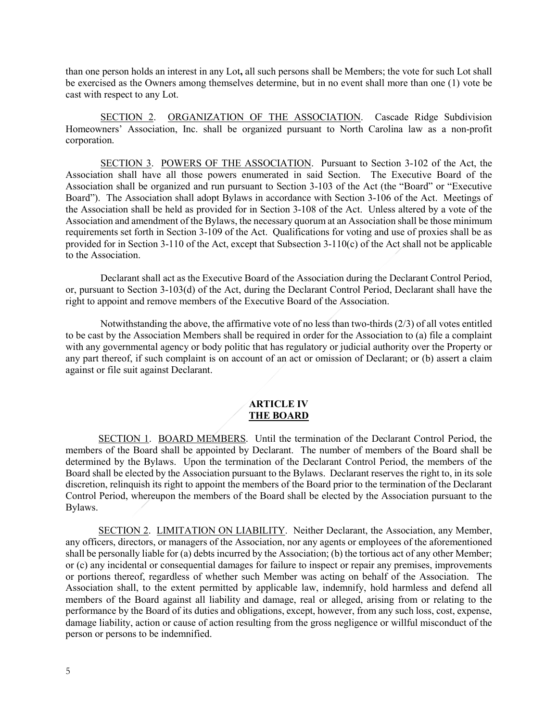than one person holds an interest in any Lot**,** all such persons shall be Members; the vote for such Lot shall be exercised as the Owners among themselves determine, but in no event shall more than one (1) vote be cast with respect to any Lot.

SECTION 2. ORGANIZATION OF THE ASSOCIATION. Cascade Ridge Subdivision Homeowners' Association, Inc. shall be organized pursuant to North Carolina law as a non-profit corporation.

SECTION 3. POWERS OF THE ASSOCIATION. Pursuant to Section 3-102 of the Act, the Association shall have all those powers enumerated in said Section. The Executive Board of the Association shall be organized and run pursuant to Section 3-103 of the Act (the "Board" or "Executive Board"). The Association shall adopt Bylaws in accordance with Section 3-106 of the Act. Meetings of the Association shall be held as provided for in Section 3-108 of the Act. Unless altered by a vote of the Association and amendment of the Bylaws, the necessary quorum at an Association shall be those minimum requirements set forth in Section 3-109 of the Act. Qualifications for voting and use of proxies shall be as provided for in Section 3-110 of the Act, except that Subsection 3-110(c) of the Act shall not be applicable to the Association.

Declarant shall act as the Executive Board of the Association during the Declarant Control Period, or, pursuant to Section 3-103(d) of the Act, during the Declarant Control Period, Declarant shall have the right to appoint and remove members of the Executive Board of the Association.

Notwithstanding the above, the affirmative vote of no less than two-thirds (2/3) of all votes entitled to be cast by the Association Members shall be required in order for the Association to (a) file a complaint with any governmental agency or body politic that has regulatory or judicial authority over the Property or any part thereof, if such complaint is on account of an act or omission of Declarant; or (b) assert a claim against or file suit against Declarant.

#### **ARTICLE IV THE BOARD**

SECTION 1. BOARD MEMBERS. Until the termination of the Declarant Control Period, the members of the Board shall be appointed by Declarant. The number of members of the Board shall be determined by the Bylaws. Upon the termination of the Declarant Control Period, the members of the Board shall be elected by the Association pursuant to the Bylaws. Declarant reserves the right to, in its sole discretion, relinquish its right to appoint the members of the Board prior to the termination of the Declarant Control Period, whereupon the members of the Board shall be elected by the Association pursuant to the Bylaws.

SECTION 2. LIMITATION ON LIABILITY. Neither Declarant, the Association, any Member, any officers, directors, or managers of the Association, nor any agents or employees of the aforementioned shall be personally liable for (a) debts incurred by the Association; (b) the tortious act of any other Member; or (c) any incidental or consequential damages for failure to inspect or repair any premises, improvements or portions thereof, regardless of whether such Member was acting on behalf of the Association. The Association shall, to the extent permitted by applicable law, indemnify, hold harmless and defend all members of the Board against all liability and damage, real or alleged, arising from or relating to the performance by the Board of its duties and obligations, except, however, from any such loss, cost, expense, damage liability, action or cause of action resulting from the gross negligence or willful misconduct of the person or persons to be indemnified.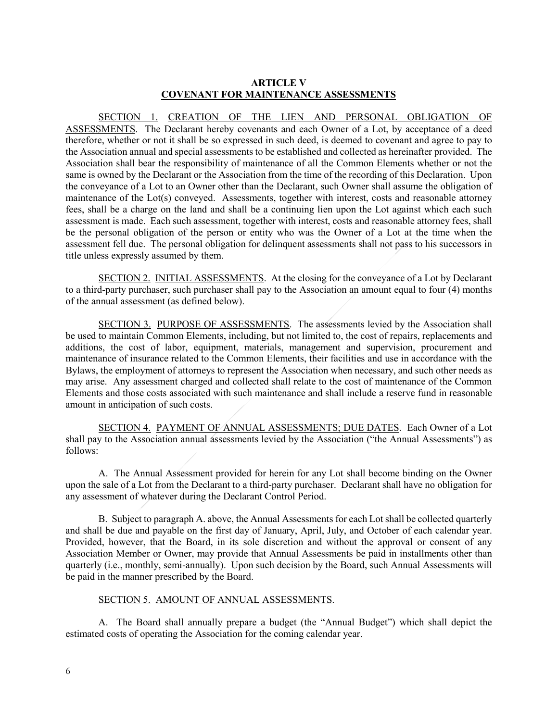## **ARTICLE V COVENANT FOR MAINTENANCE ASSESSMENTS**

SECTION 1. CREATION OF THE LIEN AND PERSONAL OBLIGATION OF ASSESSMENTS. The Declarant hereby covenants and each Owner of a Lot, by acceptance of a deed therefore, whether or not it shall be so expressed in such deed, is deemed to covenant and agree to pay to the Association annual and special assessments to be established and collected as hereinafter provided. The Association shall bear the responsibility of maintenance of all the Common Elements whether or not the same is owned by the Declarant or the Association from the time of the recording of this Declaration. Upon the conveyance of a Lot to an Owner other than the Declarant, such Owner shall assume the obligation of maintenance of the Lot(s) conveyed. Assessments, together with interest, costs and reasonable attorney fees, shall be a charge on the land and shall be a continuing lien upon the Lot against which each such assessment is made. Each such assessment, together with interest, costs and reasonable attorney fees, shall be the personal obligation of the person or entity who was the Owner of a Lot at the time when the assessment fell due. The personal obligation for delinquent assessments shall not pass to his successors in title unless expressly assumed by them.

SECTION 2. INITIAL ASSESSMENTS. At the closing for the conveyance of a Lot by Declarant to a third-party purchaser, such purchaser shall pay to the Association an amount equal to four (4) months of the annual assessment (as defined below).

SECTION 3. PURPOSE OF ASSESSMENTS. The assessments levied by the Association shall be used to maintain Common Elements, including, but not limited to, the cost of repairs, replacements and additions, the cost of labor, equipment, materials, management and supervision, procurement and maintenance of insurance related to the Common Elements, their facilities and use in accordance with the Bylaws, the employment of attorneys to represent the Association when necessary, and such other needs as may arise. Any assessment charged and collected shall relate to the cost of maintenance of the Common Elements and those costs associated with such maintenance and shall include a reserve fund in reasonable amount in anticipation of such costs.

SECTION 4. PAYMENT OF ANNUAL ASSESSMENTS; DUE DATES. Each Owner of a Lot shall pay to the Association annual assessments levied by the Association ("the Annual Assessments") as follows:

A. The Annual Assessment provided for herein for any Lot shall become binding on the Owner upon the sale of a Lot from the Declarant to a third-party purchaser. Declarant shall have no obligation for any assessment of whatever during the Declarant Control Period.

B. Subject to paragraph A. above, the Annual Assessments for each Lot shall be collected quarterly and shall be due and payable on the first day of January, April, July, and October of each calendar year. Provided, however, that the Board, in its sole discretion and without the approval or consent of any Association Member or Owner, may provide that Annual Assessments be paid in installments other than quarterly (i.e., monthly, semi-annually). Upon such decision by the Board, such Annual Assessments will be paid in the manner prescribed by the Board.

#### SECTION 5. AMOUNT OF ANNUAL ASSESSMENTS.

A. The Board shall annually prepare a budget (the "Annual Budget") which shall depict the estimated costs of operating the Association for the coming calendar year.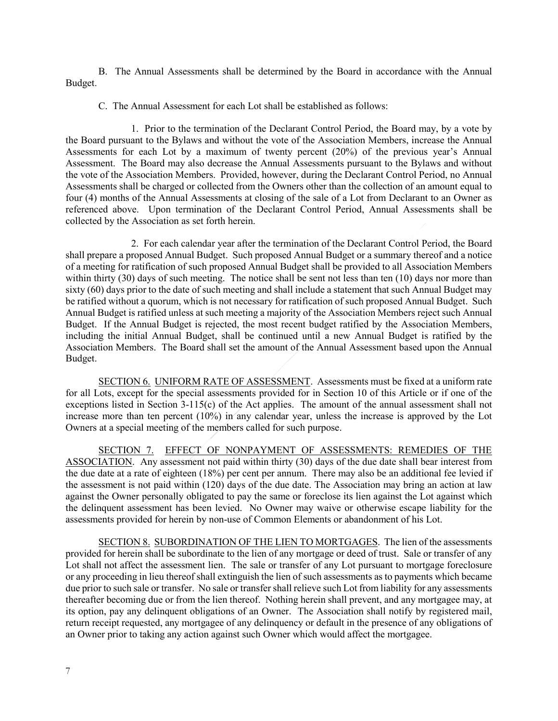B. The Annual Assessments shall be determined by the Board in accordance with the Annual Budget.

C. The Annual Assessment for each Lot shall be established as follows:

1. Prior to the termination of the Declarant Control Period, the Board may, by a vote by the Board pursuant to the Bylaws and without the vote of the Association Members, increase the Annual Assessments for each Lot by a maximum of twenty percent (20%) of the previous year's Annual Assessment. The Board may also decrease the Annual Assessments pursuant to the Bylaws and without the vote of the Association Members. Provided, however, during the Declarant Control Period, no Annual Assessments shall be charged or collected from the Owners other than the collection of an amount equal to four (4) months of the Annual Assessments at closing of the sale of a Lot from Declarant to an Owner as referenced above. Upon termination of the Declarant Control Period, Annual Assessments shall be collected by the Association as set forth herein.

2. For each calendar year after the termination of the Declarant Control Period, the Board shall prepare a proposed Annual Budget. Such proposed Annual Budget or a summary thereof and a notice of a meeting for ratification of such proposed Annual Budget shall be provided to all Association Members within thirty (30) days of such meeting. The notice shall be sent not less than ten (10) days nor more than sixty (60) days prior to the date of such meeting and shall include a statement that such Annual Budget may be ratified without a quorum, which is not necessary for ratification of such proposed Annual Budget. Such Annual Budget is ratified unless at such meeting a majority of the Association Members reject such Annual Budget. If the Annual Budget is rejected, the most recent budget ratified by the Association Members, including the initial Annual Budget, shall be continued until a new Annual Budget is ratified by the Association Members. The Board shall set the amount of the Annual Assessment based upon the Annual Budget.

SECTION 6. UNIFORM RATE OF ASSESSMENT. Assessments must be fixed at a uniform rate for all Lots, except for the special assessments provided for in Section 10 of this Article or if one of the exceptions listed in Section 3-115(c) of the Act applies. The amount of the annual assessment shall not increase more than ten percent (10%) in any calendar year, unless the increase is approved by the Lot Owners at a special meeting of the members called for such purpose.

SECTION 7. EFFECT OF NONPAYMENT OF ASSESSMENTS: REMEDIES OF THE ASSOCIATION. Any assessment not paid within thirty (30) days of the due date shall bear interest from the due date at a rate of eighteen (18%) per cent per annum. There may also be an additional fee levied if the assessment is not paid within (120) days of the due date. The Association may bring an action at law against the Owner personally obligated to pay the same or foreclose its lien against the Lot against which the delinquent assessment has been levied. No Owner may waive or otherwise escape liability for the assessments provided for herein by non-use of Common Elements or abandonment of his Lot.

SECTION 8. SUBORDINATION OF THE LIEN TO MORTGAGES. The lien of the assessments provided for herein shall be subordinate to the lien of any mortgage or deed of trust. Sale or transfer of any Lot shall not affect the assessment lien. The sale or transfer of any Lot pursuant to mortgage foreclosure or any proceeding in lieu thereof shall extinguish the lien of such assessments as to payments which became due prior to such sale or transfer. No sale or transfer shall relieve such Lot from liability for any assessments thereafter becoming due or from the lien thereof. Nothing herein shall prevent, and any mortgagee may, at its option, pay any delinquent obligations of an Owner. The Association shall notify by registered mail, return receipt requested, any mortgagee of any delinquency or default in the presence of any obligations of an Owner prior to taking any action against such Owner which would affect the mortgagee.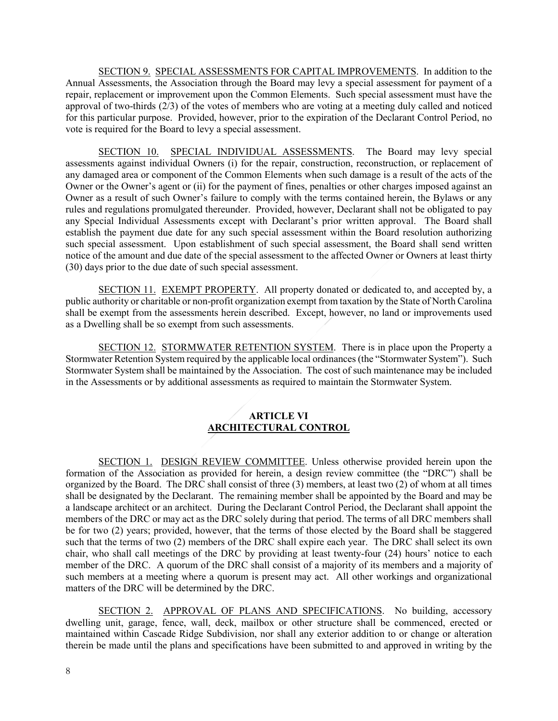SECTION 9. SPECIAL ASSESSMENTS FOR CAPITAL IMPROVEMENTS. In addition to the Annual Assessments, the Association through the Board may levy a special assessment for payment of a repair, replacement or improvement upon the Common Elements. Such special assessment must have the approval of two-thirds  $(2/3)$  of the votes of members who are voting at a meeting duly called and noticed for this particular purpose. Provided, however, prior to the expiration of the Declarant Control Period, no vote is required for the Board to levy a special assessment.

SECTION 10. SPECIAL INDIVIDUAL ASSESSMENTS. The Board may levy special assessments against individual Owners (i) for the repair, construction, reconstruction, or replacement of any damaged area or component of the Common Elements when such damage is a result of the acts of the Owner or the Owner's agent or (ii) for the payment of fines, penalties or other charges imposed against an Owner as a result of such Owner's failure to comply with the terms contained herein, the Bylaws or any rules and regulations promulgated thereunder. Provided, however, Declarant shall not be obligated to pay any Special Individual Assessments except with Declarant's prior written approval. The Board shall establish the payment due date for any such special assessment within the Board resolution authorizing such special assessment. Upon establishment of such special assessment, the Board shall send written notice of the amount and due date of the special assessment to the affected Owner or Owners at least thirty (30) days prior to the due date of such special assessment.

SECTION 11. EXEMPT PROPERTY. All property donated or dedicated to, and accepted by, a public authority or charitable or non-profit organization exempt from taxation by the State of North Carolina shall be exempt from the assessments herein described. Except, however, no land or improvements used as a Dwelling shall be so exempt from such assessments.

SECTION 12. STORMWATER RETENTION SYSTEM. There is in place upon the Property a Stormwater Retention System required by the applicable local ordinances (the "Stormwater System"). Such Stormwater System shall be maintained by the Association. The cost of such maintenance may be included in the Assessments or by additional assessments as required to maintain the Stormwater System.

# **ARTICLE VI ARCHITECTURAL CONTROL**

SECTION 1. DESIGN REVIEW COMMITTEE. Unless otherwise provided herein upon the formation of the Association as provided for herein, a design review committee (the "DRC") shall be organized by the Board. The DRC shall consist of three (3) members, at least two (2) of whom at all times shall be designated by the Declarant. The remaining member shall be appointed by the Board and may be a landscape architect or an architect. During the Declarant Control Period, the Declarant shall appoint the members of the DRC or may act as the DRC solely during that period. The terms of all DRC members shall be for two (2) years; provided, however, that the terms of those elected by the Board shall be staggered such that the terms of two (2) members of the DRC shall expire each year. The DRC shall select its own chair, who shall call meetings of the DRC by providing at least twenty-four (24) hours' notice to each member of the DRC. A quorum of the DRC shall consist of a majority of its members and a majority of such members at a meeting where a quorum is present may act. All other workings and organizational matters of the DRC will be determined by the DRC.

SECTION 2. APPROVAL OF PLANS AND SPECIFICATIONS. No building, accessory dwelling unit, garage, fence, wall, deck, mailbox or other structure shall be commenced, erected or maintained within Cascade Ridge Subdivision, nor shall any exterior addition to or change or alteration therein be made until the plans and specifications have been submitted to and approved in writing by the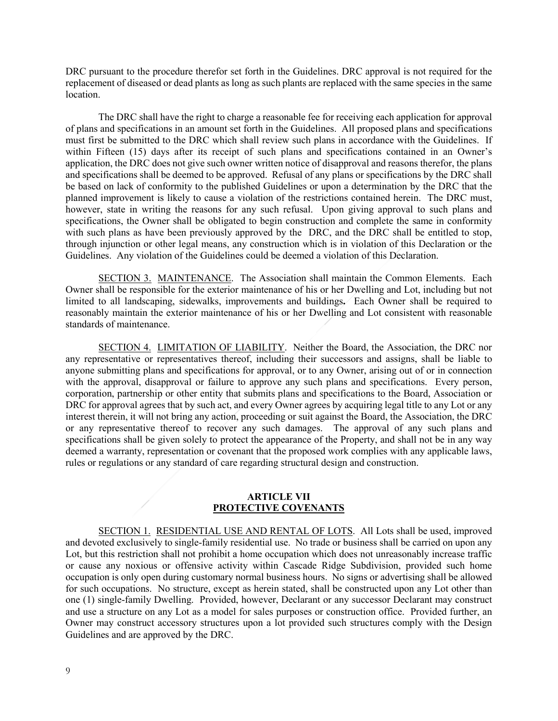DRC pursuant to the procedure therefor set forth in the Guidelines. DRC approval is not required for the replacement of diseased or dead plants as long as such plants are replaced with the same species in the same location.

The DRC shall have the right to charge a reasonable fee for receiving each application for approval of plans and specifications in an amount set forth in the Guidelines. All proposed plans and specifications must first be submitted to the DRC which shall review such plans in accordance with the Guidelines. If within Fifteen (15) days after its receipt of such plans and specifications contained in an Owner's application, the DRC does not give such owner written notice of disapproval and reasons therefor, the plans and specifications shall be deemed to be approved. Refusal of any plans or specifications by the DRC shall be based on lack of conformity to the published Guidelines or upon a determination by the DRC that the planned improvement is likely to cause a violation of the restrictions contained herein. The DRC must, however, state in writing the reasons for any such refusal. Upon giving approval to such plans and specifications, the Owner shall be obligated to begin construction and complete the same in conformity with such plans as have been previously approved by the DRC, and the DRC shall be entitled to stop, through injunction or other legal means, any construction which is in violation of this Declaration or the Guidelines. Any violation of the Guidelines could be deemed a violation of this Declaration.

SECTION 3. MAINTENANCE. The Association shall maintain the Common Elements. Each Owner shall be responsible for the exterior maintenance of his or her Dwelling and Lot, including but not limited to all landscaping, sidewalks, improvements and buildings**.** Each Owner shall be required to reasonably maintain the exterior maintenance of his or her Dwelling and Lot consistent with reasonable standards of maintenance.

SECTION 4. LIMITATION OF LIABILITY. Neither the Board, the Association, the DRC nor any representative or representatives thereof, including their successors and assigns, shall be liable to anyone submitting plans and specifications for approval, or to any Owner, arising out of or in connection with the approval, disapproval or failure to approve any such plans and specifications. Every person, corporation, partnership or other entity that submits plans and specifications to the Board, Association or DRC for approval agrees that by such act, and every Owner agrees by acquiring legal title to any Lot or any interest therein, it will not bring any action, proceeding or suit against the Board, the Association, the DRC or any representative thereof to recover any such damages. The approval of any such plans and specifications shall be given solely to protect the appearance of the Property, and shall not be in any way deemed a warranty, representation or covenant that the proposed work complies with any applicable laws, rules or regulations or any standard of care regarding structural design and construction.

#### **ARTICLE VII PROTECTIVE COVENANTS**

SECTION 1. RESIDENTIAL USE AND RENTAL OF LOTS. All Lots shall be used, improved and devoted exclusively to single-family residential use. No trade or business shall be carried on upon any Lot, but this restriction shall not prohibit a home occupation which does not unreasonably increase traffic or cause any noxious or offensive activity within Cascade Ridge Subdivision, provided such home occupation is only open during customary normal business hours. No signs or advertising shall be allowed for such occupations. No structure, except as herein stated, shall be constructed upon any Lot other than one (1) single-family Dwelling. Provided, however, Declarant or any successor Declarant may construct and use a structure on any Lot as a model for sales purposes or construction office. Provided further, an Owner may construct accessory structures upon a lot provided such structures comply with the Design Guidelines and are approved by the DRC.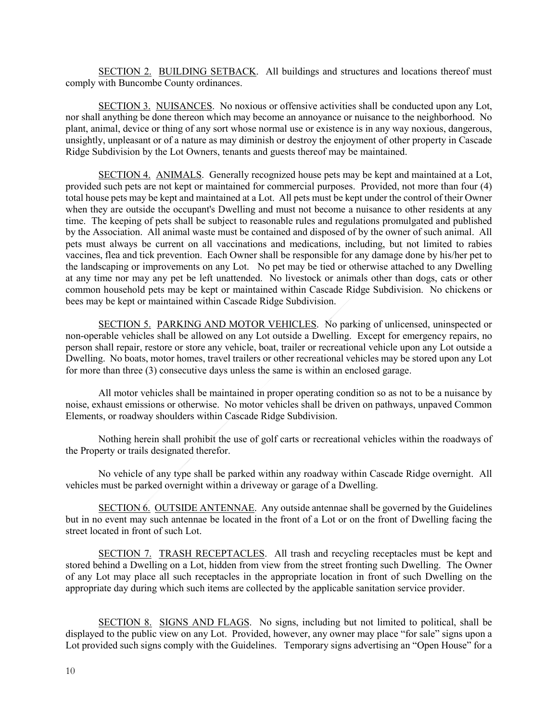SECTION 2. BUILDING SETBACK. All buildings and structures and locations thereof must comply with Buncombe County ordinances.

SECTION 3. NUISANCES. No noxious or offensive activities shall be conducted upon any Lot, nor shall anything be done thereon which may become an annoyance or nuisance to the neighborhood. No plant, animal, device or thing of any sort whose normal use or existence is in any way noxious, dangerous, unsightly, unpleasant or of a nature as may diminish or destroy the enjoyment of other property in Cascade Ridge Subdivision by the Lot Owners, tenants and guests thereof may be maintained.

SECTION 4. ANIMALS. Generally recognized house pets may be kept and maintained at a Lot, provided such pets are not kept or maintained for commercial purposes. Provided, not more than four (4) total house pets may be kept and maintained at a Lot. All pets must be kept under the control of their Owner when they are outside the occupant's Dwelling and must not become a nuisance to other residents at any time. The keeping of pets shall be subject to reasonable rules and regulations promulgated and published by the Association. All animal waste must be contained and disposed of by the owner of such animal. All pets must always be current on all vaccinations and medications, including, but not limited to rabies vaccines, flea and tick prevention. Each Owner shall be responsible for any damage done by his/her pet to the landscaping or improvements on any Lot. No pet may be tied or otherwise attached to any Dwelling at any time nor may any pet be left unattended. No livestock or animals other than dogs, cats or other common household pets may be kept or maintained within Cascade Ridge Subdivision. No chickens or bees may be kept or maintained within Cascade Ridge Subdivision.

SECTION 5. PARKING AND MOTOR VEHICLES. No parking of unlicensed, uninspected or non-operable vehicles shall be allowed on any Lot outside a Dwelling. Except for emergency repairs, no person shall repair, restore or store any vehicle, boat, trailer or recreational vehicle upon any Lot outside a Dwelling. No boats, motor homes, travel trailers or other recreational vehicles may be stored upon any Lot for more than three (3) consecutive days unless the same is within an enclosed garage.

All motor vehicles shall be maintained in proper operating condition so as not to be a nuisance by noise, exhaust emissions or otherwise. No motor vehicles shall be driven on pathways, unpaved Common Elements, or roadway shoulders within Cascade Ridge Subdivision.

Nothing herein shall prohibit the use of golf carts or recreational vehicles within the roadways of the Property or trails designated therefor.

No vehicle of any type shall be parked within any roadway within Cascade Ridge overnight. All vehicles must be parked overnight within a driveway or garage of a Dwelling.

SECTION 6. OUTSIDE ANTENNAE. Any outside antennae shall be governed by the Guidelines but in no event may such antennae be located in the front of a Lot or on the front of Dwelling facing the street located in front of such Lot.

SECTION 7. TRASH RECEPTACLES. All trash and recycling receptacles must be kept and stored behind a Dwelling on a Lot, hidden from view from the street fronting such Dwelling. The Owner of any Lot may place all such receptacles in the appropriate location in front of such Dwelling on the appropriate day during which such items are collected by the applicable sanitation service provider.

SECTION 8. SIGNS AND FLAGS. No signs, including but not limited to political, shall be displayed to the public view on any Lot. Provided, however, any owner may place "for sale" signs upon a Lot provided such signs comply with the Guidelines. Temporary signs advertising an "Open House" for a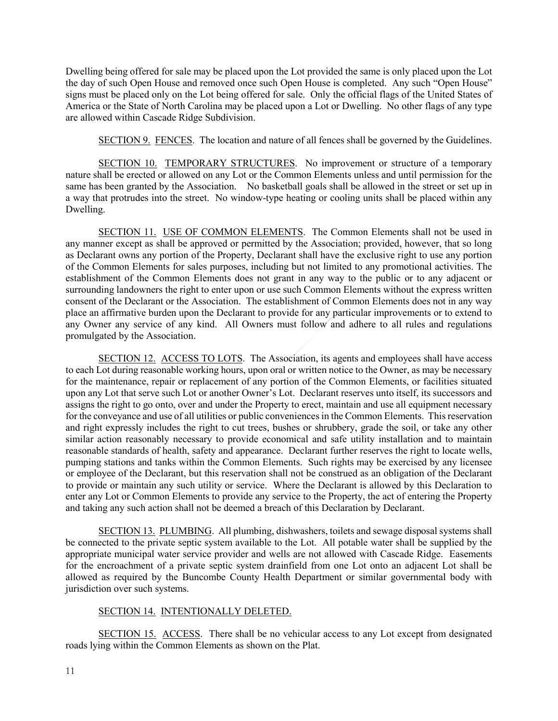Dwelling being offered for sale may be placed upon the Lot provided the same is only placed upon the Lot the day of such Open House and removed once such Open House is completed. Any such "Open House" signs must be placed only on the Lot being offered for sale. Only the official flags of the United States of America or the State of North Carolina may be placed upon a Lot or Dwelling. No other flags of any type are allowed within Cascade Ridge Subdivision.

SECTION 9. FENCES. The location and nature of all fences shall be governed by the Guidelines.

SECTION 10. TEMPORARY STRUCTURES. No improvement or structure of a temporary nature shall be erected or allowed on any Lot or the Common Elements unless and until permission for the same has been granted by the Association. No basketball goals shall be allowed in the street or set up in a way that protrudes into the street. No window-type heating or cooling units shall be placed within any Dwelling.

SECTION 11. USE OF COMMON ELEMENTS. The Common Elements shall not be used in any manner except as shall be approved or permitted by the Association; provided, however, that so long as Declarant owns any portion of the Property, Declarant shall have the exclusive right to use any portion of the Common Elements for sales purposes, including but not limited to any promotional activities. The establishment of the Common Elements does not grant in any way to the public or to any adjacent or surrounding landowners the right to enter upon or use such Common Elements without the express written consent of the Declarant or the Association. The establishment of Common Elements does not in any way place an affirmative burden upon the Declarant to provide for any particular improvements or to extend to any Owner any service of any kind. All Owners must follow and adhere to all rules and regulations promulgated by the Association.

SECTION 12. ACCESS TO LOTS. The Association, its agents and employees shall have access to each Lot during reasonable working hours, upon oral or written notice to the Owner, as may be necessary for the maintenance, repair or replacement of any portion of the Common Elements, or facilities situated upon any Lot that serve such Lot or another Owner's Lot. Declarant reserves unto itself, its successors and assigns the right to go onto, over and under the Property to erect, maintain and use all equipment necessary for the conveyance and use of all utilities or public conveniences in the Common Elements. This reservation and right expressly includes the right to cut trees, bushes or shrubbery, grade the soil, or take any other similar action reasonably necessary to provide economical and safe utility installation and to maintain reasonable standards of health, safety and appearance. Declarant further reserves the right to locate wells, pumping stations and tanks within the Common Elements. Such rights may be exercised by any licensee or employee of the Declarant, but this reservation shall not be construed as an obligation of the Declarant to provide or maintain any such utility or service. Where the Declarant is allowed by this Declaration to enter any Lot or Common Elements to provide any service to the Property, the act of entering the Property and taking any such action shall not be deemed a breach of this Declaration by Declarant.

SECTION 13. PLUMBING. All plumbing, dishwashers, toilets and sewage disposal systems shall be connected to the private septic system available to the Lot. All potable water shall be supplied by the appropriate municipal water service provider and wells are not allowed with Cascade Ridge. Easements for the encroachment of a private septic system drainfield from one Lot onto an adjacent Lot shall be allowed as required by the Buncombe County Health Department or similar governmental body with jurisdiction over such systems.

## SECTION 14. INTENTIONALLY DELETED.

SECTION 15. ACCESS. There shall be no vehicular access to any Lot except from designated roads lying within the Common Elements as shown on the Plat.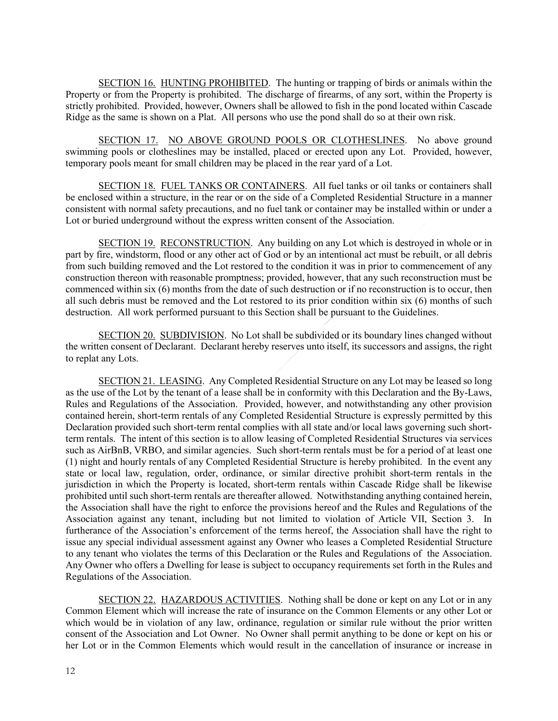SECTION 16. HUNTING PROHIBITED. The hunting or trapping of birds or animals within the Property or from the Property is prohibited. The discharge of firearms, of any sort, within the Property is strictly prohibited. Provided, however, Owners shall be allowed to fish in the pond located within Cascade Ridge as the same is shown on a Plat. All persons who use the pond shall do so at their own risk.

SECTION 17. NO ABOVE GROUND POOLS OR CLOTHESLINES. No above ground swimming pools or clotheslines may be installed, placed or erected upon any Lot. Provided, however, temporary pools meant for small children may be placed in the rear yard of a Lot.

SECTION 18. FUEL TANKS OR CONTAINERS. All fuel tanks or oil tanks or containers shall be enclosed within a structure, in the rear or on the side of a Completed Residential Structure in a manner consistent with normal safety precautions, and no fuel tank or container may be installed within or under a Lot or buried underground without the express written consent of the Association.

SECTION 19. RECONSTRUCTION. Any building on any Lot which is destroyed in whole or in part by fire, windstorm, flood or any other act of God or by an intentional act must be rebuilt, or all debris from such building removed and the Lot restored to the condition it was in prior to commencement of any construction thereon with reasonable promptness; provided, however, that any such reconstruction must be commenced within six (6) months from the date of such destruction or if no reconstruction is to occur, then all such debris must be removed and the Lot restored to its prior condition within six (6) months of such destruction. All work performed pursuant to this Section shall be pursuant to the Guidelines.

SECTION 20. SUBDIVISION. No Lot shall be subdivided or its boundary lines changed without the written consent of Declarant. Declarant hereby reserves unto itself, its successors and assigns, the right to replat any Lots.

SECTION 21. LEASING. Any Completed Residential Structure on any Lot may be leased so long as the use of the Lot by the tenant of a lease shall be in conformity with this Declaration and the By-Laws, Rules and Regulations of the Association. Provided, however, and notwithstanding any other provision contained herein, short-term rentals of any Completed Residential Structure is expressly permitted by this Declaration provided such short-term rental complies with all state and/or local laws governing such shortterm rentals. The intent of this section is to allow leasing of Completed Residential Structures via services such as AirBnB, VRBO, and similar agencies. Such short-term rentals must be for a period of at least one (1) night and hourly rentals of any Completed Residential Structure is hereby prohibited. In the event any state or local law, regulation, order, ordinance, or similar directive prohibit short-term rentals in the jurisdiction in which the Property is located, short-term rentals within Cascade Ridge shall be likewise prohibited until such short-term rentals are thereafter allowed. Notwithstanding anything contained herein, the Association shall have the right to enforce the provisions hereof and the Rules and Regulations of the Association against any tenant, including but not limited to violation of Article VII, Section 3. In furtherance of the Association's enforcement of the terms hereof, the Association shall have the right to issue any special individual assessment against any Owner who leases a Completed Residential Structure to any tenant who violates the terms of this Declaration or the Rules and Regulations of the Association. Any Owner who offers a Dwelling for lease is subject to occupancy requirements set forth in the Rules and Regulations of the Association.

SECTION 22. HAZARDOUS ACTIVITIES. Nothing shall be done or kept on any Lot or in any Common Element which will increase the rate of insurance on the Common Elements or any other Lot or which would be in violation of any law, ordinance, regulation or similar rule without the prior written consent of the Association and Lot Owner. No Owner shall permit anything to be done or kept on his or her Lot or in the Common Elements which would result in the cancellation of insurance or increase in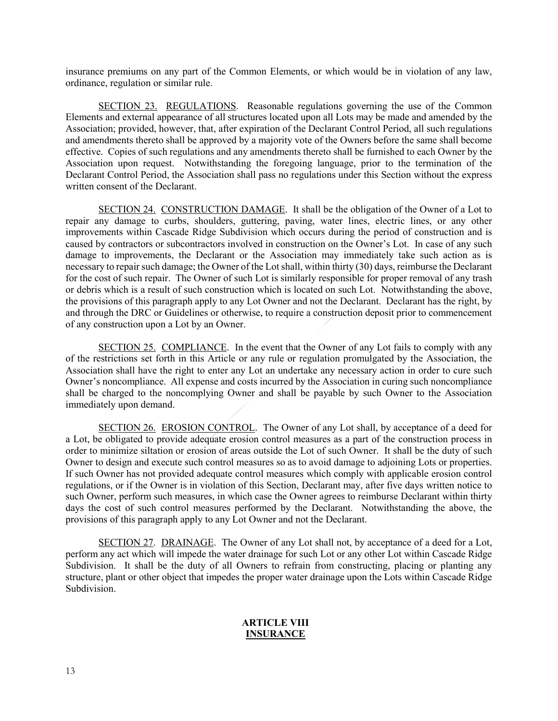insurance premiums on any part of the Common Elements, or which would be in violation of any law, ordinance, regulation or similar rule.

SECTION 23. REGULATIONS. Reasonable regulations governing the use of the Common Elements and external appearance of all structures located upon all Lots may be made and amended by the Association; provided, however, that, after expiration of the Declarant Control Period, all such regulations and amendments thereto shall be approved by a majority vote of the Owners before the same shall become effective. Copies of such regulations and any amendments thereto shall be furnished to each Owner by the Association upon request. Notwithstanding the foregoing language, prior to the termination of the Declarant Control Period, the Association shall pass no regulations under this Section without the express written consent of the Declarant.

SECTION 24. CONSTRUCTION DAMAGE. It shall be the obligation of the Owner of a Lot to repair any damage to curbs, shoulders, guttering, paving, water lines, electric lines, or any other improvements within Cascade Ridge Subdivision which occurs during the period of construction and is caused by contractors or subcontractors involved in construction on the Owner's Lot. In case of any such damage to improvements, the Declarant or the Association may immediately take such action as is necessary to repair such damage; the Owner of the Lot shall, within thirty (30) days, reimburse the Declarant for the cost of such repair. The Owner of such Lot is similarly responsible for proper removal of any trash or debris which is a result of such construction which is located on such Lot. Notwithstanding the above, the provisions of this paragraph apply to any Lot Owner and not the Declarant. Declarant has the right, by and through the DRC or Guidelines or otherwise, to require a construction deposit prior to commencement of any construction upon a Lot by an Owner.

SECTION 25. COMPLIANCE. In the event that the Owner of any Lot fails to comply with any of the restrictions set forth in this Article or any rule or regulation promulgated by the Association, the Association shall have the right to enter any Lot an undertake any necessary action in order to cure such Owner's noncompliance. All expense and costs incurred by the Association in curing such noncompliance shall be charged to the noncomplying Owner and shall be payable by such Owner to the Association immediately upon demand.

SECTION 26. EROSION CONTROL. The Owner of any Lot shall, by acceptance of a deed for a Lot, be obligated to provide adequate erosion control measures as a part of the construction process in order to minimize siltation or erosion of areas outside the Lot of such Owner. It shall be the duty of such Owner to design and execute such control measures so as to avoid damage to adjoining Lots or properties. If such Owner has not provided adequate control measures which comply with applicable erosion control regulations, or if the Owner is in violation of this Section, Declarant may, after five days written notice to such Owner, perform such measures, in which case the Owner agrees to reimburse Declarant within thirty days the cost of such control measures performed by the Declarant. Notwithstanding the above, the provisions of this paragraph apply to any Lot Owner and not the Declarant.

SECTION 27. DRAINAGE. The Owner of any Lot shall not, by acceptance of a deed for a Lot, perform any act which will impede the water drainage for such Lot or any other Lot within Cascade Ridge Subdivision. It shall be the duty of all Owners to refrain from constructing, placing or planting any structure, plant or other object that impedes the proper water drainage upon the Lots within Cascade Ridge Subdivision.

## **ARTICLE VIII INSURANCE**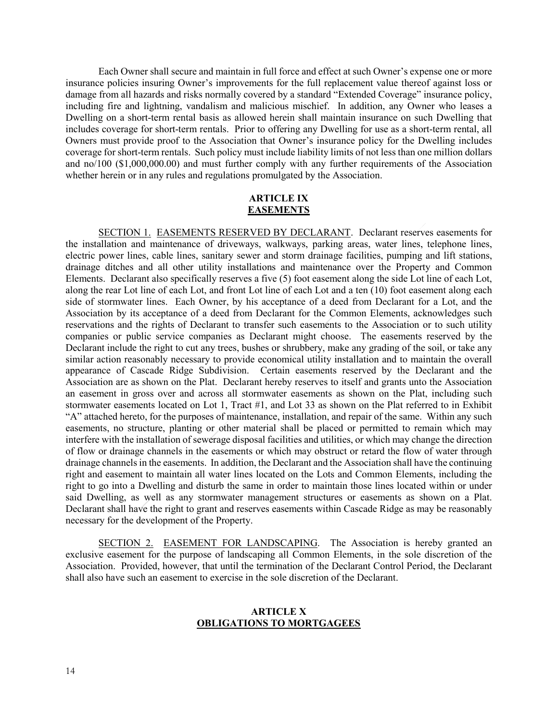Each Owner shall secure and maintain in full force and effect at such Owner's expense one or more insurance policies insuring Owner's improvements for the full replacement value thereof against loss or damage from all hazards and risks normally covered by a standard "Extended Coverage" insurance policy, including fire and lightning, vandalism and malicious mischief. In addition, any Owner who leases a Dwelling on a short-term rental basis as allowed herein shall maintain insurance on such Dwelling that includes coverage for short-term rentals. Prior to offering any Dwelling for use as a short-term rental, all Owners must provide proof to the Association that Owner's insurance policy for the Dwelling includes coverage for short-term rentals. Such policy must include liability limits of not less than one million dollars and no/100 (\$1,000,000.00) and must further comply with any further requirements of the Association whether herein or in any rules and regulations promulgated by the Association.

## **ARTICLE IX EASEMENTS**

SECTION 1. EASEMENTS RESERVED BY DECLARANT. Declarant reserves easements for the installation and maintenance of driveways, walkways, parking areas, water lines, telephone lines, electric power lines, cable lines, sanitary sewer and storm drainage facilities, pumping and lift stations, drainage ditches and all other utility installations and maintenance over the Property and Common Elements. Declarant also specifically reserves a five (5) foot easement along the side Lot line of each Lot, along the rear Lot line of each Lot, and front Lot line of each Lot and a ten (10) foot easement along each side of stormwater lines. Each Owner, by his acceptance of a deed from Declarant for a Lot, and the Association by its acceptance of a deed from Declarant for the Common Elements, acknowledges such reservations and the rights of Declarant to transfer such easements to the Association or to such utility companies or public service companies as Declarant might choose. The easements reserved by the Declarant include the right to cut any trees, bushes or shrubbery, make any grading of the soil, or take any similar action reasonably necessary to provide economical utility installation and to maintain the overall appearance of Cascade Ridge Subdivision. Certain easements reserved by the Declarant and the Association are as shown on the Plat. Declarant hereby reserves to itself and grants unto the Association an easement in gross over and across all stormwater easements as shown on the Plat, including such stormwater easements located on Lot 1, Tract #1, and Lot 33 as shown on the Plat referred to in Exhibit "A" attached hereto, for the purposes of maintenance, installation, and repair of the same. Within any such easements, no structure, planting or other material shall be placed or permitted to remain which may interfere with the installation of sewerage disposal facilities and utilities, or which may change the direction of flow or drainage channels in the easements or which may obstruct or retard the flow of water through drainage channels in the easements. In addition, the Declarant and the Association shall have the continuing right and easement to maintain all water lines located on the Lots and Common Elements, including the right to go into a Dwelling and disturb the same in order to maintain those lines located within or under said Dwelling, as well as any stormwater management structures or easements as shown on a Plat. Declarant shall have the right to grant and reserves easements within Cascade Ridge as may be reasonably necessary for the development of the Property.

SECTION 2. EASEMENT FOR LANDSCAPING. The Association is hereby granted an exclusive easement for the purpose of landscaping all Common Elements, in the sole discretion of the Association. Provided, however, that until the termination of the Declarant Control Period, the Declarant shall also have such an easement to exercise in the sole discretion of the Declarant.

## **ARTICLE X OBLIGATIONS TO MORTGAGEES**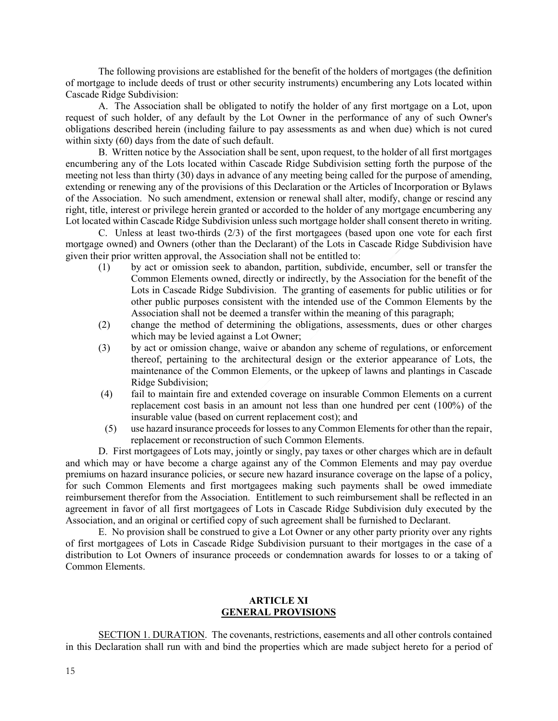The following provisions are established for the benefit of the holders of mortgages (the definition of mortgage to include deeds of trust or other security instruments) encumbering any Lots located within Cascade Ridge Subdivision:

A. The Association shall be obligated to notify the holder of any first mortgage on a Lot, upon request of such holder, of any default by the Lot Owner in the performance of any of such Owner's obligations described herein (including failure to pay assessments as and when due) which is not cured within sixty (60) days from the date of such default.

B. Written notice by the Association shall be sent, upon request, to the holder of all first mortgages encumbering any of the Lots located within Cascade Ridge Subdivision setting forth the purpose of the meeting not less than thirty (30) days in advance of any meeting being called for the purpose of amending, extending or renewing any of the provisions of this Declaration or the Articles of Incorporation or Bylaws of the Association. No such amendment, extension or renewal shall alter, modify, change or rescind any right, title, interest or privilege herein granted or accorded to the holder of any mortgage encumbering any Lot located within Cascade Ridge Subdivision unless such mortgage holder shall consent thereto in writing.

C. Unless at least two-thirds (2/3) of the first mortgagees (based upon one vote for each first mortgage owned) and Owners (other than the Declarant) of the Lots in Cascade Ridge Subdivision have given their prior written approval, the Association shall not be entitled to:

- (1) by act or omission seek to abandon, partition, subdivide, encumber, sell or transfer the Common Elements owned, directly or indirectly, by the Association for the benefit of the Lots in Cascade Ridge Subdivision. The granting of easements for public utilities or for other public purposes consistent with the intended use of the Common Elements by the Association shall not be deemed a transfer within the meaning of this paragraph;
- (2) change the method of determining the obligations, assessments, dues or other charges which may be levied against a Lot Owner;
- (3) by act or omission change, waive or abandon any scheme of regulations, or enforcement thereof, pertaining to the architectural design or the exterior appearance of Lots, the maintenance of the Common Elements, or the upkeep of lawns and plantings in Cascade Ridge Subdivision;
- (4) fail to maintain fire and extended coverage on insurable Common Elements on a current replacement cost basis in an amount not less than one hundred per cent (100%) of the insurable value (based on current replacement cost); and
- (5) use hazard insurance proceeds for losses to any Common Elements for other than the repair, replacement or reconstruction of such Common Elements.

D. First mortgagees of Lots may, jointly or singly, pay taxes or other charges which are in default and which may or have become a charge against any of the Common Elements and may pay overdue premiums on hazard insurance policies, or secure new hazard insurance coverage on the lapse of a policy, for such Common Elements and first mortgagees making such payments shall be owed immediate reimbursement therefor from the Association. Entitlement to such reimbursement shall be reflected in an agreement in favor of all first mortgagees of Lots in Cascade Ridge Subdivision duly executed by the Association, and an original or certified copy of such agreement shall be furnished to Declarant.

E. No provision shall be construed to give a Lot Owner or any other party priority over any rights of first mortgagees of Lots in Cascade Ridge Subdivision pursuant to their mortgages in the case of a distribution to Lot Owners of insurance proceeds or condemnation awards for losses to or a taking of Common Elements.

## **ARTICLE XI GENERAL PROVISIONS**

SECTION 1. DURATION. The covenants, restrictions, easements and all other controls contained in this Declaration shall run with and bind the properties which are made subject hereto for a period of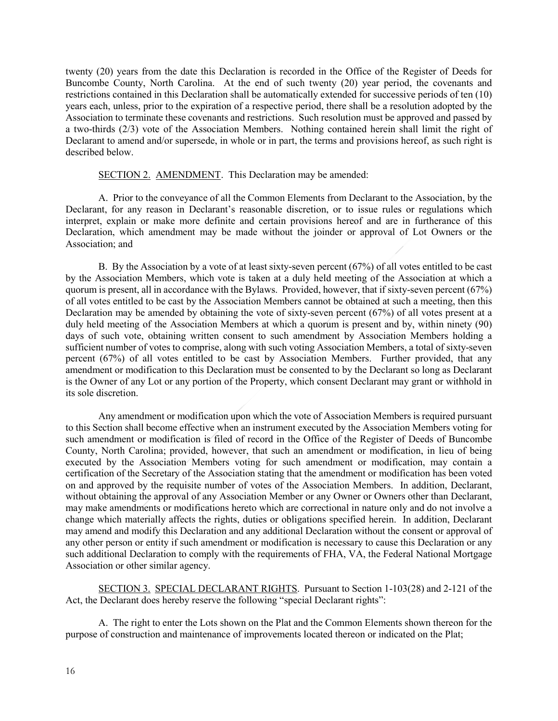twenty (20) years from the date this Declaration is recorded in the Office of the Register of Deeds for Buncombe County, North Carolina. At the end of such twenty (20) year period, the covenants and restrictions contained in this Declaration shall be automatically extended for successive periods of ten (10) years each, unless, prior to the expiration of a respective period, there shall be a resolution adopted by the Association to terminate these covenants and restrictions. Such resolution must be approved and passed by a two-thirds (2/3) vote of the Association Members. Nothing contained herein shall limit the right of Declarant to amend and/or supersede, in whole or in part, the terms and provisions hereof, as such right is described below.

#### SECTION 2. AMENDMENT. This Declaration may be amended:

A. Prior to the conveyance of all the Common Elements from Declarant to the Association, by the Declarant, for any reason in Declarant's reasonable discretion, or to issue rules or regulations which interpret, explain or make more definite and certain provisions hereof and are in furtherance of this Declaration, which amendment may be made without the joinder or approval of Lot Owners or the Association; and

B. By the Association by a vote of at least sixty-seven percent (67%) of all votes entitled to be cast by the Association Members, which vote is taken at a duly held meeting of the Association at which a quorum is present, all in accordance with the Bylaws. Provided, however, that if sixty-seven percent (67%) of all votes entitled to be cast by the Association Members cannot be obtained at such a meeting, then this Declaration may be amended by obtaining the vote of sixty-seven percent (67%) of all votes present at a duly held meeting of the Association Members at which a quorum is present and by, within ninety (90) days of such vote, obtaining written consent to such amendment by Association Members holding a sufficient number of votes to comprise, along with such voting Association Members, a total of sixty-seven percent (67%) of all votes entitled to be cast by Association Members. Further provided, that any amendment or modification to this Declaration must be consented to by the Declarant so long as Declarant is the Owner of any Lot or any portion of the Property, which consent Declarant may grant or withhold in its sole discretion.

Any amendment or modification upon which the vote of Association Members is required pursuant to this Section shall become effective when an instrument executed by the Association Members voting for such amendment or modification is filed of record in the Office of the Register of Deeds of Buncombe County, North Carolina; provided, however, that such an amendment or modification, in lieu of being executed by the Association Members voting for such amendment or modification, may contain a certification of the Secretary of the Association stating that the amendment or modification has been voted on and approved by the requisite number of votes of the Association Members. In addition, Declarant, without obtaining the approval of any Association Member or any Owner or Owners other than Declarant, may make amendments or modifications hereto which are correctional in nature only and do not involve a change which materially affects the rights, duties or obligations specified herein. In addition, Declarant may amend and modify this Declaration and any additional Declaration without the consent or approval of any other person or entity if such amendment or modification is necessary to cause this Declaration or any such additional Declaration to comply with the requirements of FHA, VA, the Federal National Mortgage Association or other similar agency.

SECTION 3. SPECIAL DECLARANT RIGHTS. Pursuant to Section 1-103(28) and 2-121 of the Act, the Declarant does hereby reserve the following "special Declarant rights":

A. The right to enter the Lots shown on the Plat and the Common Elements shown thereon for the purpose of construction and maintenance of improvements located thereon or indicated on the Plat;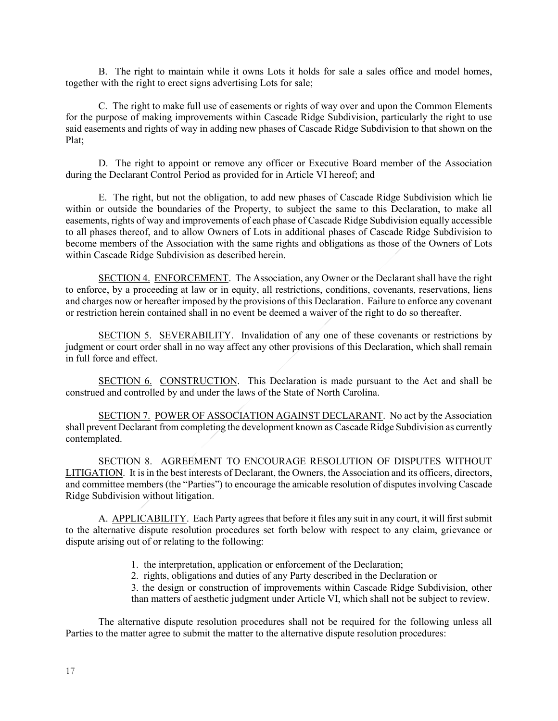B. The right to maintain while it owns Lots it holds for sale a sales office and model homes, together with the right to erect signs advertising Lots for sale;

C. The right to make full use of easements or rights of way over and upon the Common Elements for the purpose of making improvements within Cascade Ridge Subdivision, particularly the right to use said easements and rights of way in adding new phases of Cascade Ridge Subdivision to that shown on the Plat;

D. The right to appoint or remove any officer or Executive Board member of the Association during the Declarant Control Period as provided for in Article VI hereof; and

E. The right, but not the obligation, to add new phases of Cascade Ridge Subdivision which lie within or outside the boundaries of the Property, to subject the same to this Declaration, to make all easements, rights of way and improvements of each phase of Cascade Ridge Subdivision equally accessible to all phases thereof, and to allow Owners of Lots in additional phases of Cascade Ridge Subdivision to become members of the Association with the same rights and obligations as those of the Owners of Lots within Cascade Ridge Subdivision as described herein.

SECTION 4. ENFORCEMENT. The Association, any Owner or the Declarant shall have the right to enforce, by a proceeding at law or in equity, all restrictions, conditions, covenants, reservations, liens and charges now or hereafter imposed by the provisions of this Declaration. Failure to enforce any covenant or restriction herein contained shall in no event be deemed a waiver of the right to do so thereafter.

SECTION 5. SEVERABILITY. Invalidation of any one of these covenants or restrictions by judgment or court order shall in no way affect any other provisions of this Declaration, which shall remain in full force and effect.

SECTION 6. CONSTRUCTION. This Declaration is made pursuant to the Act and shall be construed and controlled by and under the laws of the State of North Carolina.

SECTION 7. POWER OF ASSOCIATION AGAINST DECLARANT. No act by the Association shall prevent Declarant from completing the development known as Cascade Ridge Subdivision as currently contemplated.

SECTION 8. AGREEMENT TO ENCOURAGE RESOLUTION OF DISPUTES WITHOUT LITIGATION. It is in the best interests of Declarant, the Owners, the Association and its officers, directors, and committee members (the "Parties") to encourage the amicable resolution of disputes involving Cascade Ridge Subdivision without litigation.

A. APPLICABILITY. Each Party agrees that before it files any suit in any court, it will first submit to the alternative dispute resolution procedures set forth below with respect to any claim, grievance or dispute arising out of or relating to the following:

- 1. the interpretation, application or enforcement of the Declaration;
- 2. rights, obligations and duties of any Party described in the Declaration or

3. the design or construction of improvements within Cascade Ridge Subdivision, other than matters of aesthetic judgment under Article VI, which shall not be subject to review.

The alternative dispute resolution procedures shall not be required for the following unless all Parties to the matter agree to submit the matter to the alternative dispute resolution procedures: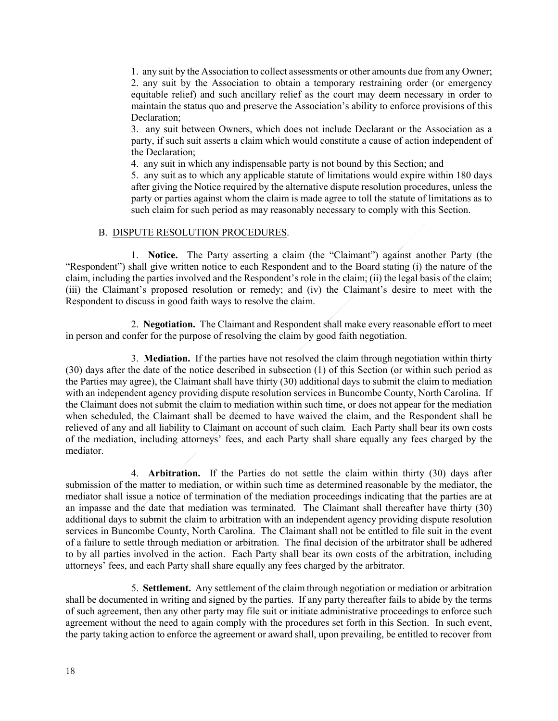1. any suit by the Association to collect assessments or other amounts due from any Owner; 2. any suit by the Association to obtain a temporary restraining order (or emergency equitable relief) and such ancillary relief as the court may deem necessary in order to maintain the status quo and preserve the Association's ability to enforce provisions of this Declaration:

3. any suit between Owners, which does not include Declarant or the Association as a party, if such suit asserts a claim which would constitute a cause of action independent of the Declaration;

4. any suit in which any indispensable party is not bound by this Section; and

5. any suit as to which any applicable statute of limitations would expire within 180 days after giving the Notice required by the alternative dispute resolution procedures, unless the party or parties against whom the claim is made agree to toll the statute of limitations as to such claim for such period as may reasonably necessary to comply with this Section.

## B. DISPUTE RESOLUTION PROCEDURES.

1. **Notice.** The Party asserting a claim (the "Claimant") against another Party (the "Respondent") shall give written notice to each Respondent and to the Board stating (i) the nature of the claim, including the parties involved and the Respondent's role in the claim; (ii) the legal basis of the claim; (iii) the Claimant's proposed resolution or remedy; and (iv) the Claimant's desire to meet with the Respondent to discuss in good faith ways to resolve the claim.

2. **Negotiation.** The Claimant and Respondent shall make every reasonable effort to meet in person and confer for the purpose of resolving the claim by good faith negotiation.

3. **Mediation.** If the parties have not resolved the claim through negotiation within thirty (30) days after the date of the notice described in subsection (1) of this Section (or within such period as the Parties may agree), the Claimant shall have thirty (30) additional days to submit the claim to mediation with an independent agency providing dispute resolution services in Buncombe County, North Carolina. If the Claimant does not submit the claim to mediation within such time, or does not appear for the mediation when scheduled, the Claimant shall be deemed to have waived the claim, and the Respondent shall be relieved of any and all liability to Claimant on account of such claim. Each Party shall bear its own costs of the mediation, including attorneys' fees, and each Party shall share equally any fees charged by the mediator.

4. **Arbitration.** If the Parties do not settle the claim within thirty (30) days after submission of the matter to mediation, or within such time as determined reasonable by the mediator, the mediator shall issue a notice of termination of the mediation proceedings indicating that the parties are at an impasse and the date that mediation was terminated. The Claimant shall thereafter have thirty (30) additional days to submit the claim to arbitration with an independent agency providing dispute resolution services in Buncombe County, North Carolina. The Claimant shall not be entitled to file suit in the event of a failure to settle through mediation or arbitration. The final decision of the arbitrator shall be adhered to by all parties involved in the action. Each Party shall bear its own costs of the arbitration, including attorneys' fees, and each Party shall share equally any fees charged by the arbitrator.

5. **Settlement.** Any settlement of the claim through negotiation or mediation or arbitration shall be documented in writing and signed by the parties. If any party thereafter fails to abide by the terms of such agreement, then any other party may file suit or initiate administrative proceedings to enforce such agreement without the need to again comply with the procedures set forth in this Section. In such event, the party taking action to enforce the agreement or award shall, upon prevailing, be entitled to recover from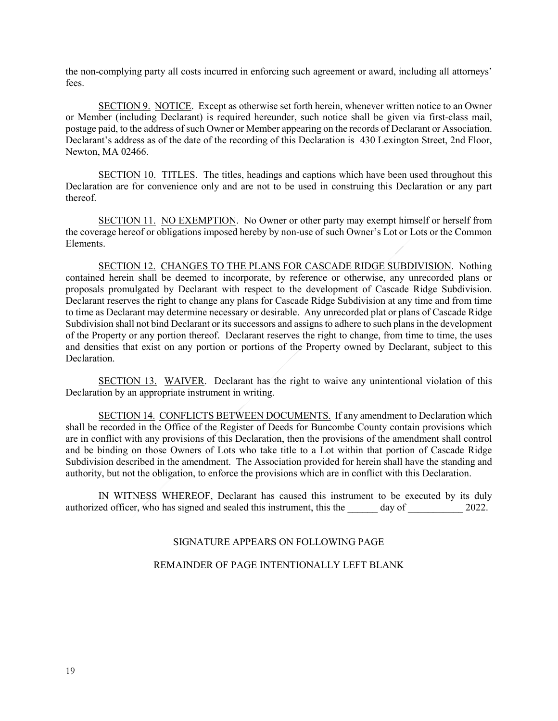the non-complying party all costs incurred in enforcing such agreement or award, including all attorneys' fees.

SECTION 9. NOTICE. Except as otherwise set forth herein, whenever written notice to an Owner or Member (including Declarant) is required hereunder, such notice shall be given via first-class mail, postage paid, to the address of such Owner or Member appearing on the records of Declarant or Association. Declarant's address as of the date of the recording of this Declaration is 430 Lexington Street, 2nd Floor, Newton, MA 02466.

SECTION 10. TITLES. The titles, headings and captions which have been used throughout this Declaration are for convenience only and are not to be used in construing this Declaration or any part thereof.

SECTION 11. NO EXEMPTION. No Owner or other party may exempt himself or herself from the coverage hereof or obligations imposed hereby by non-use of such Owner's Lot or Lots or the Common Elements.

SECTION 12. CHANGES TO THE PLANS FOR CASCADE RIDGE SUBDIVISION. Nothing contained herein shall be deemed to incorporate, by reference or otherwise, any unrecorded plans or proposals promulgated by Declarant with respect to the development of Cascade Ridge Subdivision. Declarant reserves the right to change any plans for Cascade Ridge Subdivision at any time and from time to time as Declarant may determine necessary or desirable. Any unrecorded plat or plans of Cascade Ridge Subdivision shall not bind Declarant or its successors and assigns to adhere to such plans in the development of the Property or any portion thereof. Declarant reserves the right to change, from time to time, the uses and densities that exist on any portion or portions of the Property owned by Declarant, subject to this Declaration.

SECTION 13. WAIVER. Declarant has the right to waive any unintentional violation of this Declaration by an appropriate instrument in writing.

SECTION 14. CONFLICTS BETWEEN DOCUMENTS. If any amendment to Declaration which shall be recorded in the Office of the Register of Deeds for Buncombe County contain provisions which are in conflict with any provisions of this Declaration, then the provisions of the amendment shall control and be binding on those Owners of Lots who take title to a Lot within that portion of Cascade Ridge Subdivision described in the amendment. The Association provided for herein shall have the standing and authority, but not the obligation, to enforce the provisions which are in conflict with this Declaration.

IN WITNESS WHEREOF, Declarant has caused this instrument to be executed by its duly authorized officer, who has signed and sealed this instrument, this the day of 2022.

## SIGNATURE APPEARS ON FOLLOWING PAGE

#### REMAINDER OF PAGE INTENTIONALLY LEFT BLANK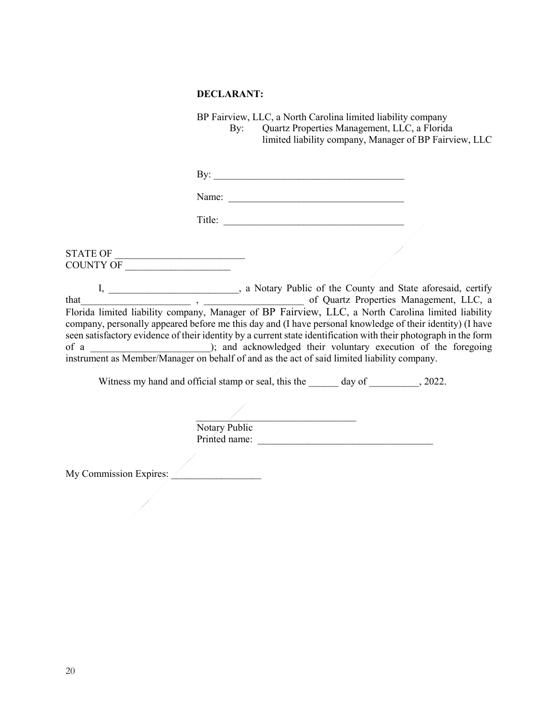#### **DECLARANT:**

BP Fairview, LLC, a North Carolina limited liability company By: Quartz Properties Management, LLC, a Florida limited liability company, Manager of BP Fairview, LLC

By: \_\_\_\_\_\_\_\_\_\_\_\_\_\_\_\_\_\_\_\_\_\_\_\_\_\_\_\_\_\_\_\_\_\_\_\_\_\_

Name:

Title: \_\_\_\_\_\_\_\_\_\_\_\_\_\_\_\_\_\_\_\_\_\_\_\_\_\_\_\_\_\_\_\_\_\_\_\_

 $\begin{array}{|c|c|c|}\hline \text{STATE OF} & \text{\color{red}m} \end{array}$ COUNTY OF \_\_\_\_\_\_\_\_\_\_\_\_\_\_\_\_\_\_\_\_\_

I, \_\_\_\_\_\_\_\_\_\_\_\_\_\_\_\_\_\_\_\_\_, a Notary Public of the County and State aforesaid, certify that http://www.flood.com/community/community/community/community/community/community/community/community/community/community/community/community/community/community/community/community/community/community/community/commun Florida limited liability company, Manager of BP Fairview, LLC, a North Carolina limited liability company, personally appeared before me this day and (I have personal knowledge of their identity) (I have seen satisfactory evidence of their identity by a current state identification with their photograph in the form of a cknowledged their voluntary execution of the foregoing instrument as Member/Manager on behalf of and as the act of said limited liability company.

Witness my hand and official stamp or seal, this the day of  $\qquad \qquad$ , 2022.

 $\overline{\phantom{a}}$  , and the contract of the contract of the contract of the contract of the contract of the contract of the contract of the contract of the contract of the contract of the contract of the contract of the contrac Notary Public Printed name:

My Commission Expires: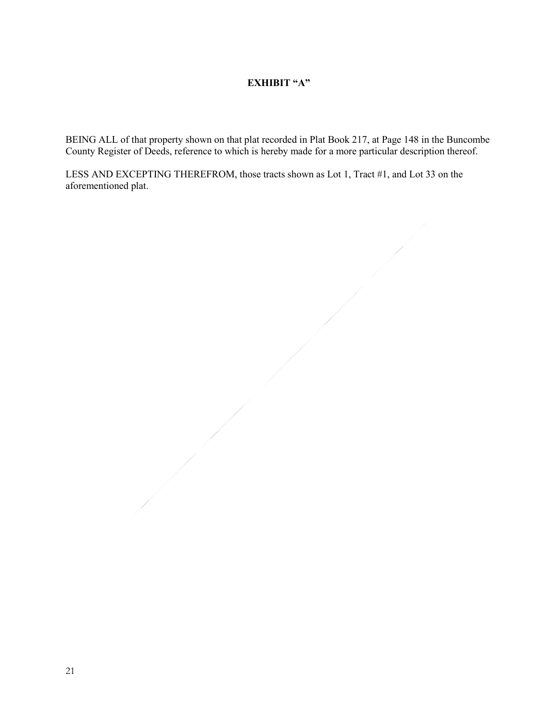# **EXHIBIT "A"**

BEING ALL of that property shown on that plat recorded in Plat Book 217, at Page 148 in the Buncombe County Register of Deeds, reference to which is hereby made for a more particular description thereof.

LESS AND EXCEPTING THEREFROM, those tracts shown as Lot 1, Tract #1, and Lot 33 on the aforementioned plat.